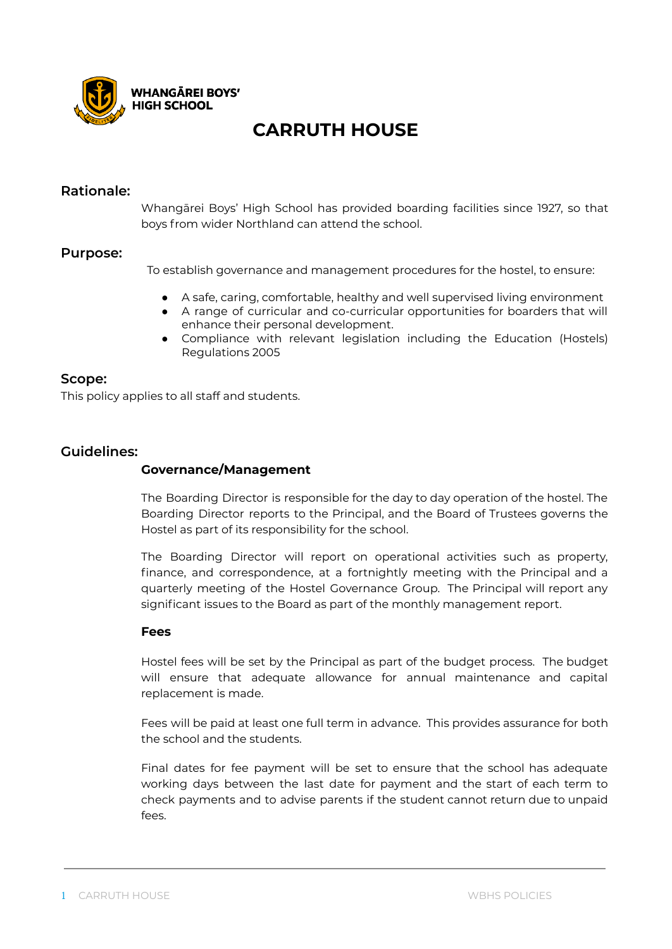

### **CARRUTH HOUSE**

### **Rationale:**

Whangārei Boys' High School has provided boarding facilities since 1927, so that boys from wider Northland can attend the school.

### **Purpose:**

To establish governance and management procedures for the hostel, to ensure:

- A safe, caring, comfortable, healthy and well supervised living environment
- A range of curricular and co-curricular opportunities for boarders that will enhance their personal development.
- Compliance with relevant legislation including the Education (Hostels) Regulations 2005

### **Scope:**

This policy applies to all staff and students.

### **Guidelines:**

### **Governance/Management**

The Boarding Director is responsible for the day to day operation of the hostel. The Boarding Director reports to the Principal, and the Board of Trustees governs the Hostel as part of its responsibility for the school.

The Boarding Director will report on operational activities such as property, finance, and correspondence, at a fortnightly meeting with the Principal and a quarterly meeting of the Hostel Governance Group. The Principal will report any significant issues to the Board as part of the monthly management report.

### **Fees**

Hostel fees will be set by the Principal as part of the budget process. The budget will ensure that adequate allowance for annual maintenance and capital replacement is made.

Fees will be paid at least one full term in advance. This provides assurance for both the school and the students.

Final dates for fee payment will be set to ensure that the school has adequate working days between the last date for payment and the start of each term to check payments and to advise parents if the student cannot return due to unpaid fees.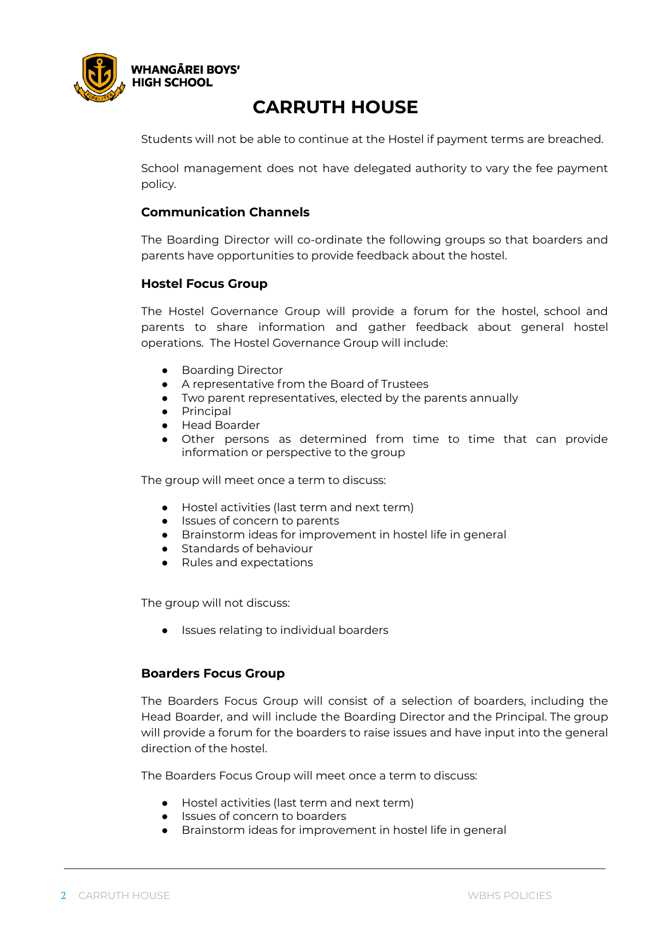

## **CARRUTH HOUSE**

Students will not be able to continue at the Hostel if payment terms are breached.

School management does not have delegated authority to vary the fee payment policy.

### **Communication Channels**

The Boarding Director will co-ordinate the following groups so that boarders and parents have opportunities to provide feedback about the hostel.

### **Hostel Focus Group**

The Hostel Governance Group will provide a forum for the hostel, school and parents to share information and gather feedback about general hostel operations. The Hostel Governance Group will include:

- **Boarding Director**
- A representative from the Board of Trustees
- Two parent representatives, elected by the parents annually
- Principal
- Head Boarder
- Other persons as determined from time to time that can provide information or perspective to the group

The group will meet once a term to discuss:

- Hostel activities (last term and next term)
- Issues of concern to parents
- Brainstorm ideas for improvement in hostel life in general
- Standards of behaviour
- Rules and expectations

The group will not discuss:

● Issues relating to individual boarders

### **Boarders Focus Group**

The Boarders Focus Group will consist of a selection of boarders, including the Head Boarder, and will include the Boarding Director and the Principal. The group will provide a forum for the boarders to raise issues and have input into the general direction of the hostel.

The Boarders Focus Group will meet once a term to discuss:

- Hostel activities (last term and next term)
- Issues of concern to boarders
- Brainstorm ideas for improvement in hostel life in general